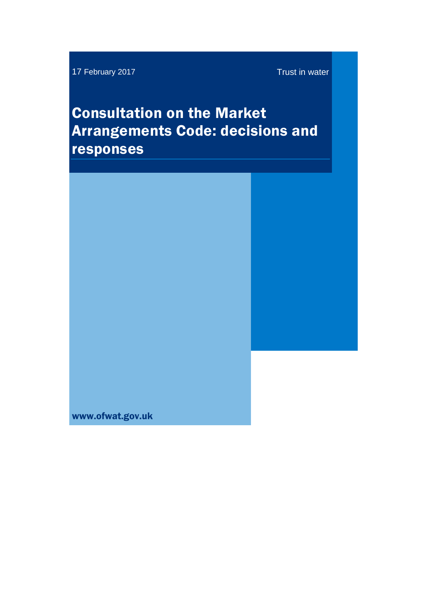17 February 2017 **Trust in water** 

# Consultation on the Market Arrangements Code: decisions and responses

www.ofwat.gov.uk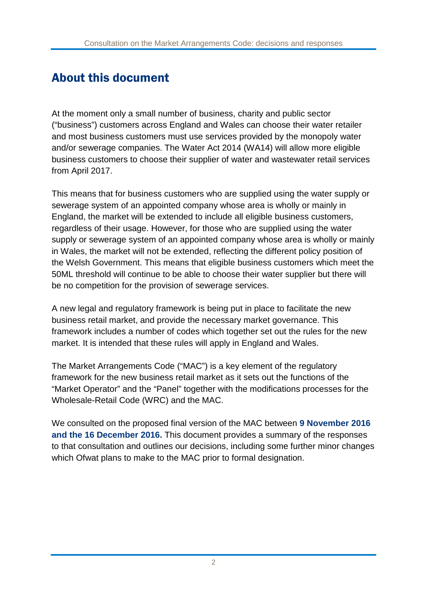### About this document

At the moment only a small number of business, charity and public sector ("business") customers across England and Wales can choose their water retailer and most business customers must use services provided by the monopoly water and/or sewerage companies. The Water Act 2014 (WA14) will allow more eligible business customers to choose their supplier of water and wastewater retail services from April 2017.

This means that for business customers who are supplied using the water supply or sewerage system of an appointed company whose area is wholly or mainly in England, the market will be extended to include all eligible business customers, regardless of their usage. However, for those who are supplied using the water supply or sewerage system of an appointed company whose area is wholly or mainly in Wales, the market will not be extended, reflecting the different policy position of the Welsh Government. This means that eligible business customers which meet the 50ML threshold will continue to be able to choose their water supplier but there will be no competition for the provision of sewerage services.

A new legal and regulatory framework is being put in place to facilitate the new business retail market, and provide the necessary market governance. This framework includes a number of codes which together set out the rules for the new market. It is intended that these rules will apply in England and Wales.

The Market Arrangements Code ("MAC") is a key element of the regulatory framework for the new business retail market as it sets out the functions of the "Market Operator" and the "Panel" together with the modifications processes for the Wholesale-Retail Code (WRC) and the MAC.

We consulted on the proposed final version of the MAC between **9 November 2016 and the 16 December 2016.** This document provides a summary of the responses to that consultation and outlines our decisions, including some further minor changes which Ofwat plans to make to the MAC prior to formal designation.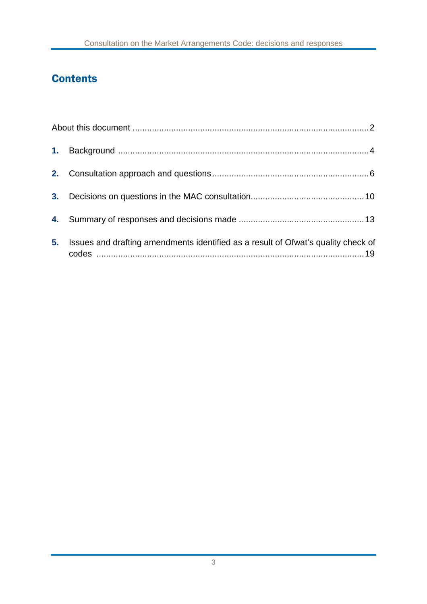### **Contents**

| 3 <sub>1</sub> |                                                                                   |  |
|----------------|-----------------------------------------------------------------------------------|--|
|                |                                                                                   |  |
| 5.             | Issues and drafting amendments identified as a result of Ofwat's quality check of |  |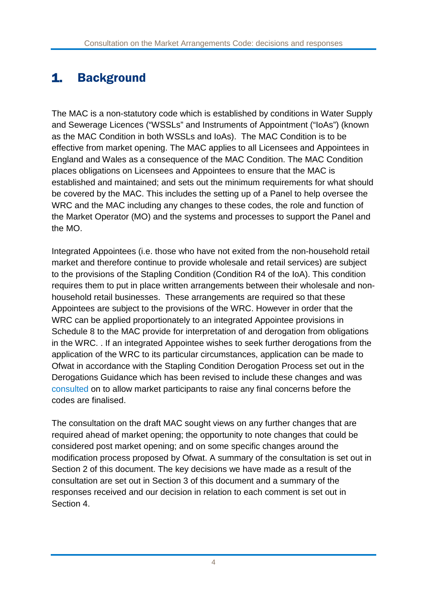## 1. Background

The MAC is a non-statutory code which is established by conditions in Water Supply and Sewerage Licences ("WSSLs" and Instruments of Appointment ("IoAs") (known as the MAC Condition in both WSSLs and IoAs). The MAC Condition is to be effective from market opening. The MAC applies to all Licensees and Appointees in England and Wales as a consequence of the MAC Condition. The MAC Condition places obligations on Licensees and Appointees to ensure that the MAC is established and maintained; and sets out the minimum requirements for what should be covered by the MAC. This includes the setting up of a Panel to help oversee the WRC and the MAC including any changes to these codes, the role and function of the Market Operator (MO) and the systems and processes to support the Panel and the MO.

Integrated Appointees (i.e. those who have not exited from the non-household retail market and therefore continue to provide wholesale and retail services) are subject to the provisions of the Stapling Condition (Condition R4 of the IoA). This condition requires them to put in place written arrangements between their wholesale and nonhousehold retail businesses. These arrangements are required so that these Appointees are subject to the provisions of the WRC. However in order that the WRC can be applied proportionately to an integrated Appointee provisions in Schedule 8 to the MAC provide for interpretation of and derogation from obligations in the WRC. . If an integrated Appointee wishes to seek further derogations from the application of the WRC to its particular circumstances, application can be made to Ofwat in accordance with the Stapling Condition Derogation Process set out in the Derogations Guidance which has been revised to include these changes and was [consulted](http://www.ofwat.gov.uk/consultation/derogations-guidance-summary-responses-consultation-certain-aspects-following-mac-wrc-changes/) on to allow market participants to raise any final concerns before the codes are finalised.

The consultation on the draft MAC sought views on any further changes that are required ahead of market opening; the opportunity to note changes that could be considered post market opening; and on some specific changes around the modification process proposed by Ofwat. A summary of the consultation is set out in Section 2 of this document. The key decisions we have made as a result of the consultation are set out in Section 3 of this document and a summary of the responses received and our decision in relation to each comment is set out in Section 4.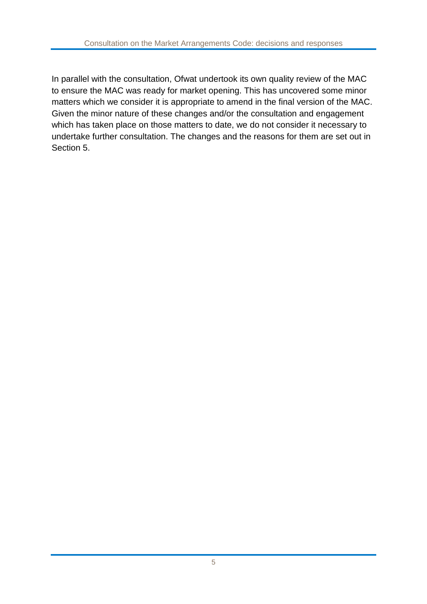In parallel with the consultation, Ofwat undertook its own quality review of the MAC to ensure the MAC was ready for market opening. This has uncovered some minor matters which we consider it is appropriate to amend in the final version of the MAC. Given the minor nature of these changes and/or the consultation and engagement which has taken place on those matters to date, we do not consider it necessary to undertake further consultation. The changes and the reasons for them are set out in Section 5.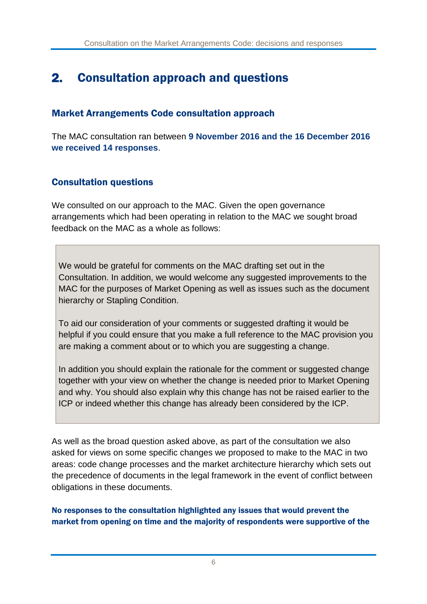### 2. Consultation approach and questions

#### Market Arrangements Code consultation approach

The MAC consultation ran between **9 November 2016 and the 16 December 2016 we received 14 responses**.

#### Consultation questions

We consulted on our approach to the MAC. Given the open governance arrangements which had been operating in relation to the MAC we sought broad feedback on the MAC as a whole as follows:

We would be grateful for comments on the MAC drafting set out in the Consultation. In addition, we would welcome any suggested improvements to the MAC for the purposes of Market Opening as well as issues such as the document hierarchy or Stapling Condition.

To aid our consideration of your comments or suggested drafting it would be helpful if you could ensure that you make a full reference to the MAC provision you are making a comment about or to which you are suggesting a change.

In addition you should explain the rationale for the comment or suggested change together with your view on whether the change is needed prior to Market Opening and why. You should also explain why this change has not be raised earlier to the ICP or indeed whether this change has already been considered by the ICP.

As well as the broad question asked above, as part of the consultation we also asked for views on some specific changes we proposed to make to the MAC in two areas: code change processes and the market architecture hierarchy which sets out the precedence of documents in the legal framework in the event of conflict between obligations in these documents.

#### No responses to the consultation highlighted any issues that would prevent the market from opening on time and the majority of respondents were supportive of the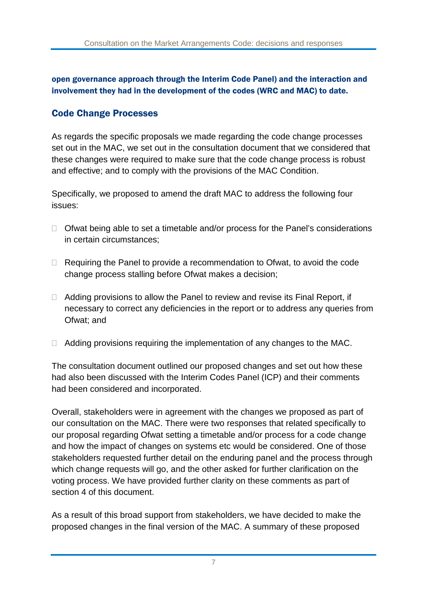open governance approach through the Interim Code Panel) and the interaction and involvement they had in the development of the codes (WRC and MAC) to date.

#### Code Change Processes

As regards the specific proposals we made regarding the code change processes set out in the MAC, we set out in the consultation document that we considered that these changes were required to make sure that the code change process is robust and effective; and to comply with the provisions of the MAC Condition.

Specifically, we proposed to amend the draft MAC to address the following four issues:

- $\Box$  Ofwat being able to set a timetable and/or process for the Panel's considerations in certain circumstances;
- $\Box$  Requiring the Panel to provide a recommendation to Ofwat, to avoid the code change process stalling before Ofwat makes a decision;
- $\Box$  Adding provisions to allow the Panel to review and revise its Final Report, if necessary to correct any deficiencies in the report or to address any queries from Ofwat; and
- $\Box$  Adding provisions requiring the implementation of any changes to the MAC.

The consultation document outlined our proposed changes and set out how these had also been discussed with the Interim Codes Panel (ICP) and their comments had been considered and incorporated.

Overall, stakeholders were in agreement with the changes we proposed as part of our consultation on the MAC. There were two responses that related specifically to our proposal regarding Ofwat setting a timetable and/or process for a code change and how the impact of changes on systems etc would be considered. One of those stakeholders requested further detail on the enduring panel and the process through which change requests will go, and the other asked for further clarification on the voting process. We have provided further clarity on these comments as part of section 4 of this document.

As a result of this broad support from stakeholders, we have decided to make the proposed changes in the final version of the MAC. A summary of these proposed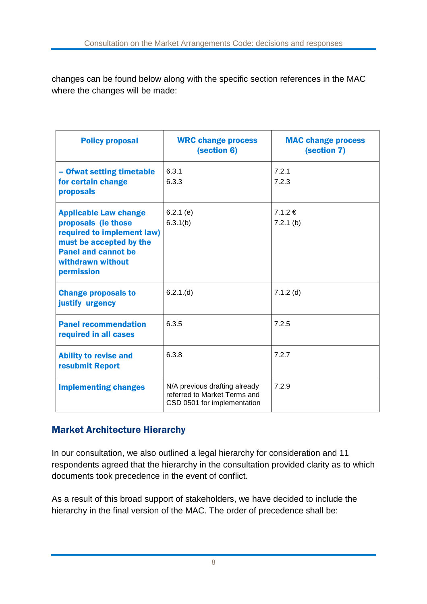changes can be found below along with the specific section references in the MAC where the changes will be made:

| <b>Policy proposal</b>                                                                                                                                                        | <b>WRC change process</b><br>(section 6)                                                     | <b>MAC change process</b><br>(section 7) |
|-------------------------------------------------------------------------------------------------------------------------------------------------------------------------------|----------------------------------------------------------------------------------------------|------------------------------------------|
| - Ofwat setting timetable<br>for certain change<br>proposals                                                                                                                  | 6.3.1<br>6.3.3                                                                               | 7.2.1<br>7.2.3                           |
| <b>Applicable Law change</b><br>proposals (ie those<br>required to implement law)<br>must be accepted by the<br><b>Panel and cannot be</b><br>withdrawn without<br>permission | $6.2.1$ (e)<br>6.3.1(b)                                                                      | 7.1.2€<br>$7.2.1$ (b)                    |
| <b>Change proposals to</b><br>justify urgency                                                                                                                                 | 6.2.1(d)                                                                                     | $7.1.2$ (d)                              |
| <b>Panel recommendation</b><br>required in all cases                                                                                                                          | 6.3.5                                                                                        | 7.2.5                                    |
| <b>Ability to revise and</b><br>resubmit Report                                                                                                                               | 6.3.8                                                                                        | 7.2.7                                    |
| <b>Implementing changes</b>                                                                                                                                                   | N/A previous drafting already<br>referred to Market Terms and<br>CSD 0501 for implementation | 7.2.9                                    |

#### Market Architecture Hierarchy

In our consultation, we also outlined a legal hierarchy for consideration and 11 respondents agreed that the hierarchy in the consultation provided clarity as to which documents took precedence in the event of conflict.

As a result of this broad support of stakeholders, we have decided to include the hierarchy in the final version of the MAC. The order of precedence shall be: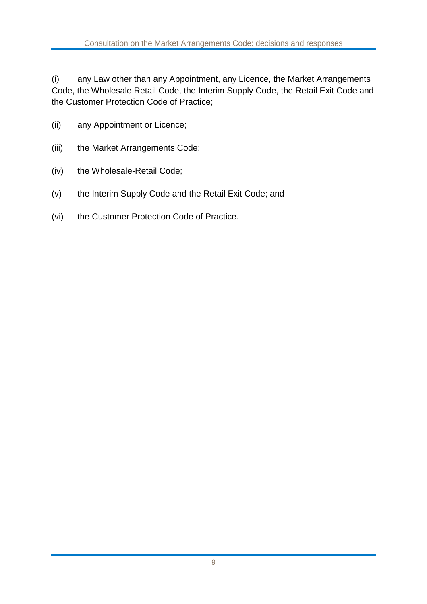(i) any Law other than any Appointment, any Licence, the Market Arrangements Code, the Wholesale Retail Code, the Interim Supply Code, the Retail Exit Code and the Customer Protection Code of Practice;

- (ii) any Appointment or Licence;
- (iii) the Market Arrangements Code:
- (iv) the Wholesale-Retail Code;
- (v) the Interim Supply Code and the Retail Exit Code; and
- (vi) the Customer Protection Code of Practice.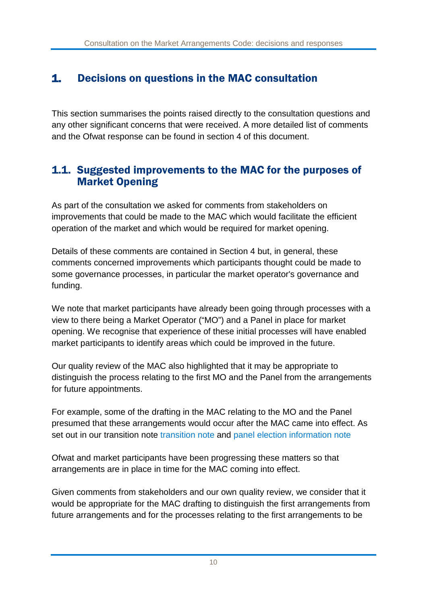### 1. Decisions on questions in the MAC consultation

This section summarises the points raised directly to the consultation questions and any other significant concerns that were received. A more detailed list of comments and the Ofwat response can be found in section 4 of this document.

#### 1.1. Suggested improvements to the MAC for the purposes of Market Opening

As part of the consultation we asked for comments from stakeholders on improvements that could be made to the MAC which would facilitate the efficient operation of the market and which would be required for market opening.

Details of these comments are contained in Section 4 but, in general, these comments concerned improvements which participants thought could be made to some governance processes, in particular the market operator's governance and funding.

We note that market participants have already been going through processes with a view to there being a Market Operator ("MO") and a Panel in place for market opening. We recognise that experience of these initial processes will have enabled market participants to identify areas which could be improved in the future.

Our quality review of the MAC also highlighted that it may be appropriate to distinguish the process relating to the first MO and the Panel from the arrangements for future appointments.

For example, some of the drafting in the MAC relating to the MO and the Panel presumed that these arrangements would occur after the MAC came into effect. As set out in our [transition](http://www.ofwat.gov.uk/publication/statutory-transition-scheme-for-retail-market-opening-response-document/) note transition note and panel election [information](http://www.ofwat.gov.uk/consultation/retail-market-opening-transition-arrangements-elections-to-the-enduring-panel/) note

Ofwat and market participants have been progressing these matters so that arrangements are in place in time for the MAC coming into effect.

Given comments from stakeholders and our own quality review, we consider that it would be appropriate for the MAC drafting to distinguish the first arrangements from future arrangements and for the processes relating to the first arrangements to be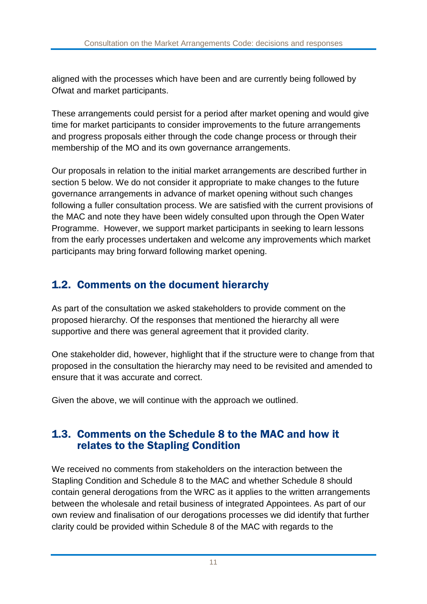aligned with the processes which have been and are currently being followed by Ofwat and market participants.

These arrangements could persist for a period after market opening and would give time for market participants to consider improvements to the future arrangements and progress proposals either through the code change process or through their membership of the MO and its own governance arrangements.

Our proposals in relation to the initial market arrangements are described further in section 5 below. We do not consider it appropriate to make changes to the future governance arrangements in advance of market opening without such changes following a fuller consultation process. We are satisfied with the current provisions of the MAC and note they have been widely consulted upon through the Open Water Programme. However, we support market participants in seeking to learn lessons from the early processes undertaken and welcome any improvements which market participants may bring forward following market opening.

### 1.2. Comments on the document hierarchy

As part of the consultation we asked stakeholders to provide comment on the proposed hierarchy. Of the responses that mentioned the hierarchy all were supportive and there was general agreement that it provided clarity.

One stakeholder did, however, highlight that if the structure were to change from that proposed in the consultation the hierarchy may need to be revisited and amended to ensure that it was accurate and correct.

Given the above, we will continue with the approach we outlined.

#### 1.3. Comments on the Schedule 8 to the MAC and how it relates to the Stapling Condition

We received no comments from stakeholders on the interaction between the Stapling Condition and Schedule 8 to the MAC and whether Schedule 8 should contain general derogations from the WRC as it applies to the written arrangements between the wholesale and retail business of integrated Appointees. As part of our own review and finalisation of our derogations processes we did identify that further clarity could be provided within Schedule 8 of the MAC with regards to the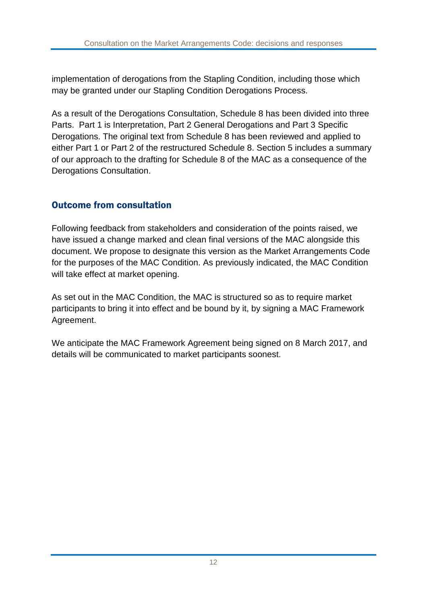implementation of derogations from the Stapling Condition, including those which may be granted under our Stapling Condition Derogations Process.

As a result of the Derogations Consultation, Schedule 8 has been divided into three Parts. Part 1 is Interpretation, Part 2 General Derogations and Part 3 Specific Derogations. The original text from Schedule 8 has been reviewed and applied to either Part 1 or Part 2 of the restructured Schedule 8. Section 5 includes a summary of our approach to the drafting for Schedule 8 of the MAC as a consequence of the Derogations Consultation.

#### Outcome from consultation

Following feedback from stakeholders and consideration of the points raised, we have issued a change marked and clean final versions of the MAC alongside this document. We propose to designate this version as the Market Arrangements Code for the purposes of the MAC Condition. As previously indicated, the MAC Condition will take effect at market opening.

As set out in the MAC Condition, the MAC is structured so as to require market participants to bring it into effect and be bound by it, by signing a MAC Framework Agreement.

We anticipate the MAC Framework Agreement being signed on 8 March 2017, and details will be communicated to market participants soonest.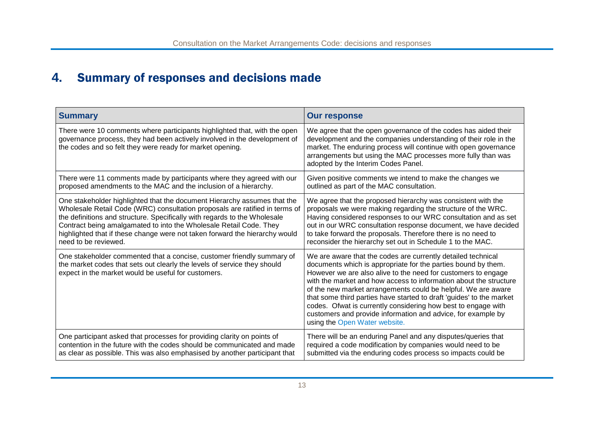## **4.** Summary of responses and decisions made

| <b>Summary</b>                                                                                                                                                                                                      | <b>Our response</b>                                                                                                                                                                                                                                                                                                                                                                                                                                                                                                                                                            |
|---------------------------------------------------------------------------------------------------------------------------------------------------------------------------------------------------------------------|--------------------------------------------------------------------------------------------------------------------------------------------------------------------------------------------------------------------------------------------------------------------------------------------------------------------------------------------------------------------------------------------------------------------------------------------------------------------------------------------------------------------------------------------------------------------------------|
| There were 10 comments where participants highlighted that, with the open<br>governance process, they had been actively involved in the development of<br>the codes and so felt they were ready for market opening. | We agree that the open governance of the codes has aided their<br>development and the companies understanding of their role in the<br>market. The enduring process will continue with open governance<br>arrangements but using the MAC processes more fully than was<br>adopted by the Interim Codes Panel.                                                                                                                                                                                                                                                                   |
| There were 11 comments made by participants where they agreed with our                                                                                                                                              | Given positive comments we intend to make the changes we                                                                                                                                                                                                                                                                                                                                                                                                                                                                                                                       |
| proposed amendments to the MAC and the inclusion of a hierarchy.                                                                                                                                                    | outlined as part of the MAC consultation.                                                                                                                                                                                                                                                                                                                                                                                                                                                                                                                                      |
| One stakeholder highlighted that the document Hierarchy assumes that the                                                                                                                                            | We agree that the proposed hierarchy was consistent with the                                                                                                                                                                                                                                                                                                                                                                                                                                                                                                                   |
| Wholesale Retail Code (WRC) consultation proposals are ratified in terms of                                                                                                                                         | proposals we were making regarding the structure of the WRC.                                                                                                                                                                                                                                                                                                                                                                                                                                                                                                                   |
| the definitions and structure. Specifically with regards to the Wholesale                                                                                                                                           | Having considered responses to our WRC consultation and as set                                                                                                                                                                                                                                                                                                                                                                                                                                                                                                                 |
| Contract being amalgamated to into the Wholesale Retail Code. They                                                                                                                                                  | out in our WRC consultation response document, we have decided                                                                                                                                                                                                                                                                                                                                                                                                                                                                                                                 |
| highlighted that if these change were not taken forward the hierarchy would                                                                                                                                         | to take forward the proposals. Therefore there is no need to                                                                                                                                                                                                                                                                                                                                                                                                                                                                                                                   |
| need to be reviewed.                                                                                                                                                                                                | reconsider the hierarchy set out in Schedule 1 to the MAC.                                                                                                                                                                                                                                                                                                                                                                                                                                                                                                                     |
| One stakeholder commented that a concise, customer friendly summary of<br>the market codes that sets out clearly the levels of service they should<br>expect in the market would be useful for customers.           | We are aware that the codes are currently detailed technical<br>documents which is appropriate for the parties bound by them.<br>However we are also alive to the need for customers to engage<br>with the market and how access to information about the structure<br>of the new market arrangements could be helpful. We are aware<br>that some third parties have started to draft 'guides' to the market<br>codes. Ofwat is currently considering how best to engage with<br>customers and provide information and advice, for example by<br>using the Open Water website. |
| One participant asked that processes for providing clarity on points of                                                                                                                                             | There will be an enduring Panel and any disputes/queries that                                                                                                                                                                                                                                                                                                                                                                                                                                                                                                                  |
| contention in the future with the codes should be communicated and made                                                                                                                                             | required a code modification by companies would need to be                                                                                                                                                                                                                                                                                                                                                                                                                                                                                                                     |
| as clear as possible. This was also emphasised by another participant that                                                                                                                                          | submitted via the enduring codes process so impacts could be                                                                                                                                                                                                                                                                                                                                                                                                                                                                                                                   |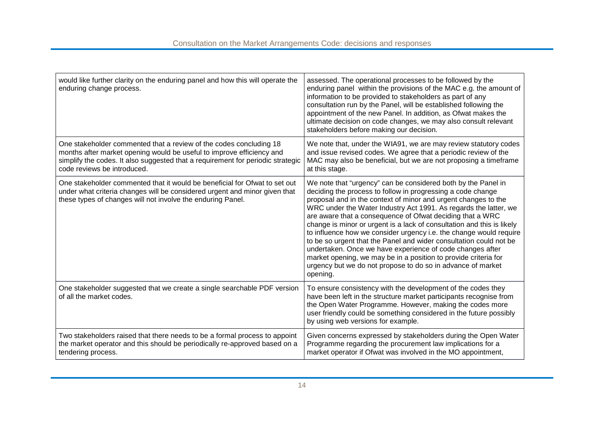| would like further clarity on the enduring panel and how this will operate the<br>enduring change process.                                                                                                                                                    | assessed. The operational processes to be followed by the<br>enduring panel within the provisions of the MAC e.g. the amount of<br>information to be provided to stakeholders as part of any<br>consultation run by the Panel, will be established following the<br>appointment of the new Panel. In addition, as Ofwat makes the<br>ultimate decision on code changes, we may also consult relevant<br>stakeholders before making our decision.                                                                                                                                                                                                                                                                                                                 |
|---------------------------------------------------------------------------------------------------------------------------------------------------------------------------------------------------------------------------------------------------------------|------------------------------------------------------------------------------------------------------------------------------------------------------------------------------------------------------------------------------------------------------------------------------------------------------------------------------------------------------------------------------------------------------------------------------------------------------------------------------------------------------------------------------------------------------------------------------------------------------------------------------------------------------------------------------------------------------------------------------------------------------------------|
| One stakeholder commented that a review of the codes concluding 18<br>months after market opening would be useful to improve efficiency and<br>simplify the codes. It also suggested that a requirement for periodic strategic<br>code reviews be introduced. | We note that, under the WIA91, we are may review statutory codes<br>and issue revised codes. We agree that a periodic review of the<br>MAC may also be beneficial, but we are not proposing a timeframe<br>at this stage.                                                                                                                                                                                                                                                                                                                                                                                                                                                                                                                                        |
| One stakeholder commented that it would be beneficial for Ofwat to set out<br>under what criteria changes will be considered urgent and minor given that<br>these types of changes will not involve the enduring Panel.                                       | We note that "urgency" can be considered both by the Panel in<br>deciding the process to follow in progressing a code change<br>proposal and in the context of minor and urgent changes to the<br>WRC under the Water Industry Act 1991. As regards the latter, we<br>are aware that a consequence of Ofwat deciding that a WRC<br>change is minor or urgent is a lack of consultation and this is likely<br>to influence how we consider urgency i.e. the change would require<br>to be so urgent that the Panel and wider consultation could not be<br>undertaken. Once we have experience of code changes after<br>market opening, we may be in a position to provide criteria for<br>urgency but we do not propose to do so in advance of market<br>opening. |
| One stakeholder suggested that we create a single searchable PDF version<br>of all the market codes.                                                                                                                                                          | To ensure consistency with the development of the codes they<br>have been left in the structure market participants recognise from<br>the Open Water Programme. However, making the codes more<br>user friendly could be something considered in the future possibly<br>by using web versions for example.                                                                                                                                                                                                                                                                                                                                                                                                                                                       |
| Two stakeholders raised that there needs to be a formal process to appoint<br>the market operator and this should be periodically re-approved based on a<br>tendering process.                                                                                | Given concerns expressed by stakeholders during the Open Water<br>Programme regarding the procurement law implications for a<br>market operator if Ofwat was involved in the MO appointment,                                                                                                                                                                                                                                                                                                                                                                                                                                                                                                                                                                     |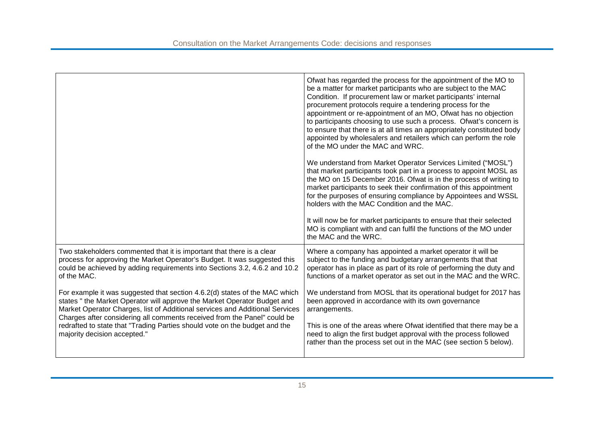| Ofwat has regarded the process for the appointment of the MO to<br>be a matter for market participants who are subject to the MAC<br>Condition. If procurement law or market participants' internal<br>procurement protocols require a tendering process for the<br>appointment or re-appointment of an MO, Ofwat has no objection<br>to participants choosing to use such a process. Ofwat's concern is<br>to ensure that there is at all times an appropriately constituted body<br>appointed by wholesalers and retailers which can perform the role<br>of the MO under the MAC and WRC.<br>We understand from Market Operator Services Limited ("MOSL")<br>that market participants took part in a process to appoint MOSL as<br>the MO on 15 December 2016. Ofwat is in the process of writing to<br>market participants to seek their confirmation of this appointment<br>for the purposes of ensuring compliance by Appointees and WSSL<br>holders with the MAC Condition and the MAC. |
|-----------------------------------------------------------------------------------------------------------------------------------------------------------------------------------------------------------------------------------------------------------------------------------------------------------------------------------------------------------------------------------------------------------------------------------------------------------------------------------------------------------------------------------------------------------------------------------------------------------------------------------------------------------------------------------------------------------------------------------------------------------------------------------------------------------------------------------------------------------------------------------------------------------------------------------------------------------------------------------------------|
| It will now be for market participants to ensure that their selected<br>MO is compliant with and can fulfil the functions of the MO under<br>the MAC and the WRC.                                                                                                                                                                                                                                                                                                                                                                                                                                                                                                                                                                                                                                                                                                                                                                                                                             |
| Where a company has appointed a market operator it will be<br>subject to the funding and budgetary arrangements that that<br>operator has in place as part of its role of performing the duty and<br>functions of a market operator as set out in the MAC and the WRC.                                                                                                                                                                                                                                                                                                                                                                                                                                                                                                                                                                                                                                                                                                                        |
| We understand from MOSL that its operational budget for 2017 has<br>been approved in accordance with its own governance<br>arrangements.                                                                                                                                                                                                                                                                                                                                                                                                                                                                                                                                                                                                                                                                                                                                                                                                                                                      |
| This is one of the areas where Ofwat identified that there may be a<br>need to align the first budget approval with the process followed<br>rather than the process set out in the MAC (see section 5 below).                                                                                                                                                                                                                                                                                                                                                                                                                                                                                                                                                                                                                                                                                                                                                                                 |
|                                                                                                                                                                                                                                                                                                                                                                                                                                                                                                                                                                                                                                                                                                                                                                                                                                                                                                                                                                                               |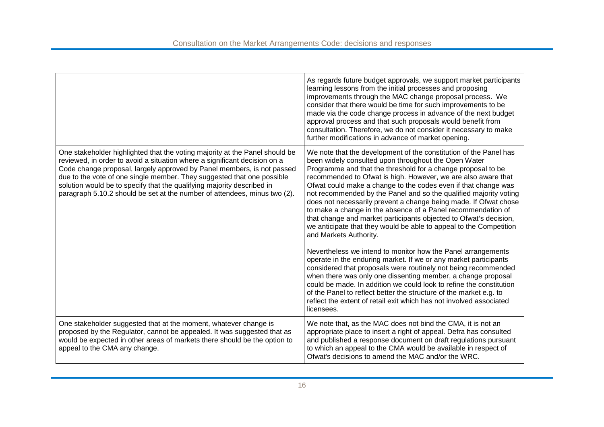|                                                                                                                                                                                                                                                                                                                                                                                                                                                                     | As regards future budget approvals, we support market participants<br>learning lessons from the initial processes and proposing<br>improvements through the MAC change proposal process. We<br>consider that there would be time for such improvements to be<br>made via the code change process in advance of the next budget<br>approval process and that such proposals would benefit from<br>consultation. Therefore, we do not consider it necessary to make<br>further modifications in advance of market opening.                                                                                                                                                                                                                                                                                                                                                                                                                                                                                                                                                                                                                                                                                           |
|---------------------------------------------------------------------------------------------------------------------------------------------------------------------------------------------------------------------------------------------------------------------------------------------------------------------------------------------------------------------------------------------------------------------------------------------------------------------|--------------------------------------------------------------------------------------------------------------------------------------------------------------------------------------------------------------------------------------------------------------------------------------------------------------------------------------------------------------------------------------------------------------------------------------------------------------------------------------------------------------------------------------------------------------------------------------------------------------------------------------------------------------------------------------------------------------------------------------------------------------------------------------------------------------------------------------------------------------------------------------------------------------------------------------------------------------------------------------------------------------------------------------------------------------------------------------------------------------------------------------------------------------------------------------------------------------------|
| One stakeholder highlighted that the voting majority at the Panel should be<br>reviewed, in order to avoid a situation where a significant decision on a<br>Code change proposal, largely approved by Panel members, is not passed<br>due to the vote of one single member. They suggested that one possible<br>solution would be to specify that the qualifying majority described in<br>paragraph 5.10.2 should be set at the number of attendees, minus two (2). | We note that the development of the constitution of the Panel has<br>been widely consulted upon throughout the Open Water<br>Programme and that the threshold for a change proposal to be<br>recommended to Ofwat is high. However, we are also aware that<br>Ofwat could make a change to the codes even if that change was<br>not recommended by the Panel and so the qualified majority voting<br>does not necessarily prevent a change being made. If Ofwat chose<br>to make a change in the absence of a Panel recommendation of<br>that change and market participants objected to Ofwat's decision,<br>we anticipate that they would be able to appeal to the Competition<br>and Markets Authority.<br>Nevertheless we intend to monitor how the Panel arrangements<br>operate in the enduring market. If we or any market participants<br>considered that proposals were routinely not being recommended<br>when there was only one dissenting member, a change proposal<br>could be made. In addition we could look to refine the constitution<br>of the Panel to reflect better the structure of the market e.g. to<br>reflect the extent of retail exit which has not involved associated<br>licensees. |
| One stakeholder suggested that at the moment, whatever change is<br>proposed by the Regulator, cannot be appealed. It was suggested that as<br>would be expected in other areas of markets there should be the option to<br>appeal to the CMA any change.                                                                                                                                                                                                           | We note that, as the MAC does not bind the CMA, it is not an<br>appropriate place to insert a right of appeal. Defra has consulted<br>and published a response document on draft regulations pursuant<br>to which an appeal to the CMA would be available in respect of<br>Ofwat's decisions to amend the MAC and/or the WRC.                                                                                                                                                                                                                                                                                                                                                                                                                                                                                                                                                                                                                                                                                                                                                                                                                                                                                      |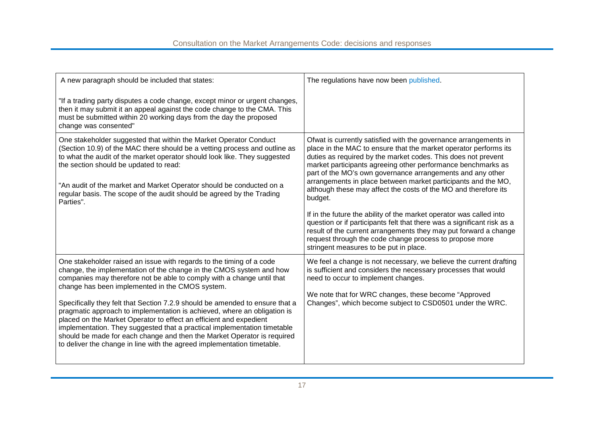| A new paragraph should be included that states:                                                                                                                                                                                                                                                                                                                                                                                                                                                                                                                                                                                                                                                                                              | The regulations have now been published.                                                                                                                                                                                                                                                                                                                                                                                                                                                                                                                                                                                                                                                                                                                                                                      |
|----------------------------------------------------------------------------------------------------------------------------------------------------------------------------------------------------------------------------------------------------------------------------------------------------------------------------------------------------------------------------------------------------------------------------------------------------------------------------------------------------------------------------------------------------------------------------------------------------------------------------------------------------------------------------------------------------------------------------------------------|---------------------------------------------------------------------------------------------------------------------------------------------------------------------------------------------------------------------------------------------------------------------------------------------------------------------------------------------------------------------------------------------------------------------------------------------------------------------------------------------------------------------------------------------------------------------------------------------------------------------------------------------------------------------------------------------------------------------------------------------------------------------------------------------------------------|
| "If a trading party disputes a code change, except minor or urgent changes,<br>then it may submit it an appeal against the code change to the CMA. This<br>must be submitted within 20 working days from the day the proposed<br>change was consented"                                                                                                                                                                                                                                                                                                                                                                                                                                                                                       |                                                                                                                                                                                                                                                                                                                                                                                                                                                                                                                                                                                                                                                                                                                                                                                                               |
| One stakeholder suggested that within the Market Operator Conduct<br>(Section 10.9) of the MAC there should be a vetting process and outline as<br>to what the audit of the market operator should look like. They suggested<br>the section should be updated to read:<br>"An audit of the market and Market Operator should be conducted on a<br>regular basis. The scope of the audit should be agreed by the Trading<br>Parties".                                                                                                                                                                                                                                                                                                         | Ofwat is currently satisfied with the governance arrangements in<br>place in the MAC to ensure that the market operator performs its<br>duties as required by the market codes. This does not prevent<br>market participants agreeing other performance benchmarks as<br>part of the MO's own governance arrangements and any other<br>arrangements in place between market participants and the MO,<br>although these may affect the costs of the MO and therefore its<br>budget.<br>If in the future the ability of the market operator was called into<br>question or if participants felt that there was a significant risk as a<br>result of the current arrangements they may put forward a change<br>request through the code change process to propose more<br>stringent measures to be put in place. |
| One stakeholder raised an issue with regards to the timing of a code<br>change, the implementation of the change in the CMOS system and how<br>companies may therefore not be able to comply with a change until that<br>change has been implemented in the CMOS system.<br>Specifically they felt that Section 7.2.9 should be amended to ensure that a<br>pragmatic approach to implementation is achieved, where an obligation is<br>placed on the Market Operator to effect an efficient and expedient<br>implementation. They suggested that a practical implementation timetable<br>should be made for each change and then the Market Operator is required<br>to deliver the change in line with the agreed implementation timetable. | We feel a change is not necessary, we believe the current drafting<br>is sufficient and considers the necessary processes that would<br>need to occur to implement changes.<br>We note that for WRC changes, these become "Approved<br>Changes", which become subject to CSD0501 under the WRC.                                                                                                                                                                                                                                                                                                                                                                                                                                                                                                               |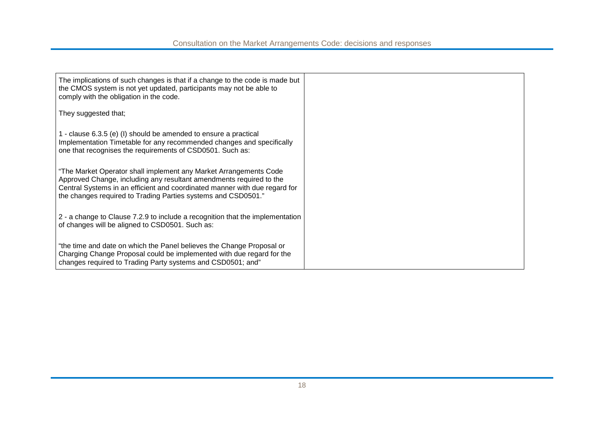| The implications of such changes is that if a change to the code is made but<br>the CMOS system is not yet updated, participants may not be able to<br>comply with the obligation in the code.                                                                                          |  |
|-----------------------------------------------------------------------------------------------------------------------------------------------------------------------------------------------------------------------------------------------------------------------------------------|--|
| They suggested that;                                                                                                                                                                                                                                                                    |  |
| 1 - clause 6.3.5 (e) (I) should be amended to ensure a practical<br>Implementation Timetable for any recommended changes and specifically<br>one that recognises the requirements of CSD0501. Such as:                                                                                  |  |
| "The Market Operator shall implement any Market Arrangements Code<br>Approved Change, including any resultant amendments required to the<br>Central Systems in an efficient and coordinated manner with due regard for<br>the changes required to Trading Parties systems and CSD0501." |  |
| 2 - a change to Clause 7.2.9 to include a recognition that the implementation<br>of changes will be aligned to CSD0501. Such as:                                                                                                                                                        |  |
| "the time and date on which the Panel believes the Change Proposal or<br>Charging Change Proposal could be implemented with due regard for the<br>changes required to Trading Party systems and CSD0501; and"                                                                           |  |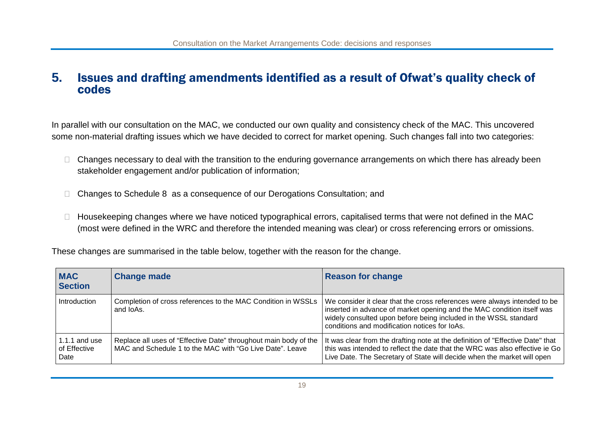#### **5.** Issues and drafting amendments identified as a result of Ofwat's quality check of codes

In parallel with our consultation on the MAC, we conducted our own quality and consistency check of the MAC. This uncovered some non-material drafting issues which we have decided to correct for market opening. Such changes fall into two categories:

- $\Box$  Changes necessary to deal with the transition to the enduring governance arrangements on which there has already been stakeholder engagement and/or publication of information;
- □ Changes to Schedule 8 as a consequence of our Derogations Consultation; and
- $\Box$  Housekeeping changes where we have noticed typographical errors, capitalised terms that were not defined in the MAC (most were defined in the WRC and therefore the intended meaning was clear) or cross referencing errors or omissions.

These changes are summarised in the table below, together with the reason for the change.

| <b>MAC</b><br><b>Section</b>          | <b>Change made</b>                                                                                                           | <b>Reason for change</b>                                                                                                                                                                                                                                                                                                                |
|---------------------------------------|------------------------------------------------------------------------------------------------------------------------------|-----------------------------------------------------------------------------------------------------------------------------------------------------------------------------------------------------------------------------------------------------------------------------------------------------------------------------------------|
| Introduction                          | and loAs.                                                                                                                    | Completion of cross references to the MAC Condition in WSSLs   We consider it clear that the cross references were always intended to be<br>inserted in advance of market opening and the MAC condition itself was<br>widely consulted upon before being included in the WSSL standard<br>conditions and modification notices for loAs. |
| 1.1.1 and use<br>of Effective<br>Date | Replace all uses of "Effective Date" throughout main body of the<br>MAC and Schedule 1 to the MAC with "Go Live Date". Leave | It was clear from the drafting note at the definition of "Effective Date" that<br>this was intended to reflect the date that the WRC was also effective ie Go<br>Live Date. The Secretary of State will decide when the market will open                                                                                                |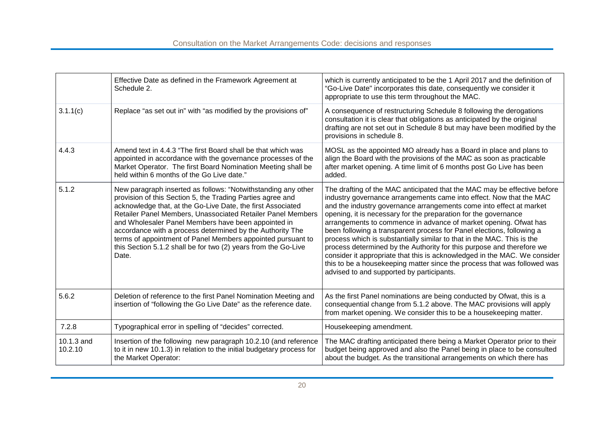|                       | Effective Date as defined in the Framework Agreement at<br>Schedule 2.                                                                                                                                                                                                                                                                                                                                                                                                                                                  | which is currently anticipated to be the 1 April 2017 and the definition of<br>"Go-Live Date" incorporates this date, consequently we consider it<br>appropriate to use this term throughout the MAC.                                                                                                                                                                                                                                                                                                                                                                                                                                                                                                                                                                                           |
|-----------------------|-------------------------------------------------------------------------------------------------------------------------------------------------------------------------------------------------------------------------------------------------------------------------------------------------------------------------------------------------------------------------------------------------------------------------------------------------------------------------------------------------------------------------|-------------------------------------------------------------------------------------------------------------------------------------------------------------------------------------------------------------------------------------------------------------------------------------------------------------------------------------------------------------------------------------------------------------------------------------------------------------------------------------------------------------------------------------------------------------------------------------------------------------------------------------------------------------------------------------------------------------------------------------------------------------------------------------------------|
| 3.1.1(c)              | Replace "as set out in" with "as modified by the provisions of"                                                                                                                                                                                                                                                                                                                                                                                                                                                         | A consequence of restructuring Schedule 8 following the derogations<br>consultation it is clear that obligations as anticipated by the original<br>drafting are not set out in Schedule 8 but may have been modified by the<br>provisions in schedule 8.                                                                                                                                                                                                                                                                                                                                                                                                                                                                                                                                        |
| 4.4.3                 | Amend text in 4.4.3 "The first Board shall be that which was<br>appointed in accordance with the governance processes of the<br>Market Operator. The first Board Nomination Meeting shall be<br>held within 6 months of the Go Live date."                                                                                                                                                                                                                                                                              | MOSL as the appointed MO already has a Board in place and plans to<br>align the Board with the provisions of the MAC as soon as practicable<br>after market opening. A time limit of 6 months post Go Live has been<br>added.                                                                                                                                                                                                                                                                                                                                                                                                                                                                                                                                                                   |
| 5.1.2                 | New paragraph inserted as follows: "Notwithstanding any other<br>provision of this Section 5, the Trading Parties agree and<br>acknowledge that, at the Go-Live Date, the first Associated<br>Retailer Panel Members, Unassociated Retailer Panel Members<br>and Wholesaler Panel Members have been appointed in<br>accordance with a process determined by the Authority The<br>terms of appointment of Panel Members appointed pursuant to<br>this Section 5.1.2 shall be for two (2) years from the Go-Live<br>Date. | The drafting of the MAC anticipated that the MAC may be effective before<br>industry governance arrangements came into effect. Now that the MAC<br>and the industry governance arrangements come into effect at market<br>opening, it is necessary for the preparation for the governance<br>arrangements to commence in advance of market opening. Ofwat has<br>been following a transparent process for Panel elections, following a<br>process which is substantially similar to that in the MAC. This is the<br>process determined by the Authority for this purpose and therefore we<br>consider it appropriate that this is acknowledged in the MAC. We consider<br>this to be a housekeeping matter since the process that was followed was<br>advised to and supported by participants. |
| 5.6.2                 | Deletion of reference to the first Panel Nomination Meeting and<br>insertion of "following the Go Live Date" as the reference date.                                                                                                                                                                                                                                                                                                                                                                                     | As the first Panel nominations are being conducted by Ofwat, this is a<br>consequential change from 5.1.2 above. The MAC provisions will apply<br>from market opening. We consider this to be a housekeeping matter.                                                                                                                                                                                                                                                                                                                                                                                                                                                                                                                                                                            |
| 7.2.8                 | Typographical error in spelling of "decides" corrected.                                                                                                                                                                                                                                                                                                                                                                                                                                                                 | Housekeeping amendment.                                                                                                                                                                                                                                                                                                                                                                                                                                                                                                                                                                                                                                                                                                                                                                         |
| 10.1.3 and<br>10.2.10 | Insertion of the following new paragraph 10.2.10 (and reference<br>to it in new 10.1.3) in relation to the initial budgetary process for<br>the Market Operator:                                                                                                                                                                                                                                                                                                                                                        | The MAC drafting anticipated there being a Market Operator prior to their<br>budget being approved and also the Panel being in place to be consulted<br>about the budget. As the transitional arrangements on which there has                                                                                                                                                                                                                                                                                                                                                                                                                                                                                                                                                                   |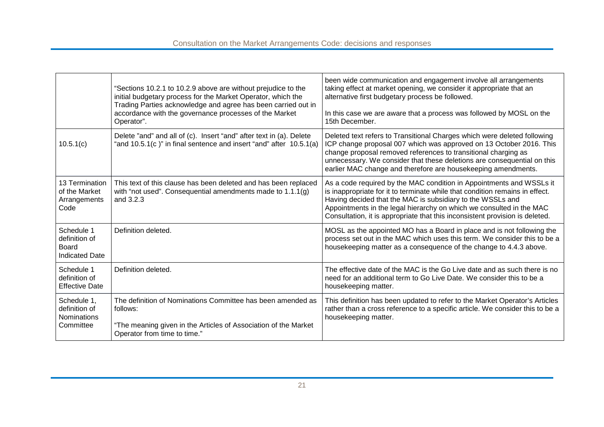|                                                                 | "Sections 10.2.1 to 10.2.9 above are without prejudice to the<br>initial budgetary process for the Market Operator, which the<br>Trading Parties acknowledge and agree has been carried out in<br>accordance with the governance processes of the Market<br>Operator". | been wide communication and engagement involve all arrangements<br>taking effect at market opening, we consider it appropriate that an<br>alternative first budgetary process be followed.<br>In this case we are aware that a process was followed by MOSL on the<br>15th December.                                                                                       |
|-----------------------------------------------------------------|------------------------------------------------------------------------------------------------------------------------------------------------------------------------------------------------------------------------------------------------------------------------|----------------------------------------------------------------------------------------------------------------------------------------------------------------------------------------------------------------------------------------------------------------------------------------------------------------------------------------------------------------------------|
| 10.5.1(c)                                                       | Delete "and" and all of (c). Insert "and" after text in (a). Delete<br>"and 10.5.1(c)" in final sentence and insert "and" after 10.5.1(a)                                                                                                                              | Deleted text refers to Transitional Charges which were deleted following<br>ICP change proposal 007 which was approved on 13 October 2016. This<br>change proposal removed references to transitional charging as<br>unnecessary. We consider that these deletions are consequential on this<br>earlier MAC change and therefore are housekeeping amendments.              |
| 13 Termination<br>of the Market<br>Arrangements<br>Code         | This text of this clause has been deleted and has been replaced<br>with "not used". Consequential amendments made to 1.1.1(g)<br>and 3.2.3                                                                                                                             | As a code required by the MAC condition in Appointments and WSSLs it<br>is inappropriate for it to terminate while that condition remains in effect.<br>Having decided that the MAC is subsidiary to the WSSLs and<br>Appointments in the legal hierarchy on which we consulted in the MAC<br>Consultation, it is appropriate that this inconsistent provision is deleted. |
| Schedule 1<br>definition of<br>Board<br><b>Indicated Date</b>   | Definition deleted.                                                                                                                                                                                                                                                    | MOSL as the appointed MO has a Board in place and is not following the<br>process set out in the MAC which uses this term. We consider this to be a<br>housekeeping matter as a consequence of the change to 4.4.3 above.                                                                                                                                                  |
| Schedule 1<br>definition of<br><b>Effective Date</b>            | Definition deleted.                                                                                                                                                                                                                                                    | The effective date of the MAC is the Go Live date and as such there is no<br>need for an additional term to Go Live Date. We consider this to be a<br>housekeeping matter.                                                                                                                                                                                                 |
| Schedule 1,<br>definition of<br><b>Nominations</b><br>Committee | The definition of Nominations Committee has been amended as<br>follows:<br>"The meaning given in the Articles of Association of the Market<br>Operator from time to time."                                                                                             | This definition has been updated to refer to the Market Operator's Articles<br>rather than a cross reference to a specific article. We consider this to be a<br>housekeeping matter.                                                                                                                                                                                       |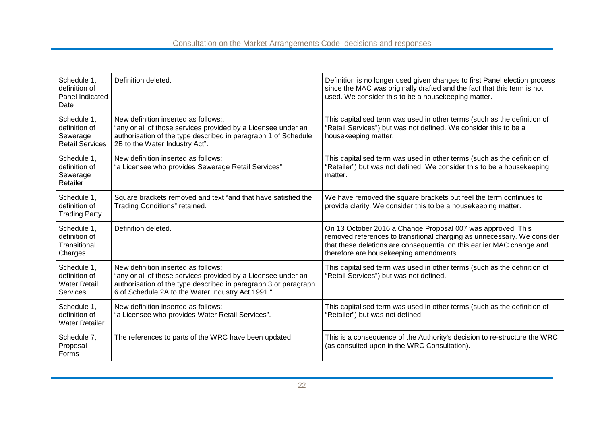| Schedule 1,<br>definition of<br>Panel Indicated<br>Date                | Definition deleted.                                                                                                                                                                                                          | Definition is no longer used given changes to first Panel election process<br>since the MAC was originally drafted and the fact that this term is not<br>used. We consider this to be a housekeeping matter.                                              |
|------------------------------------------------------------------------|------------------------------------------------------------------------------------------------------------------------------------------------------------------------------------------------------------------------------|-----------------------------------------------------------------------------------------------------------------------------------------------------------------------------------------------------------------------------------------------------------|
| Schedule 1,<br>definition of<br>Sewerage<br><b>Retail Services</b>     | New definition inserted as follows:,<br>"any or all of those services provided by a Licensee under an<br>authorisation of the type described in paragraph 1 of Schedule<br>2B to the Water Industry Act".                    | This capitalised term was used in other terms (such as the definition of<br>"Retail Services") but was not defined. We consider this to be a<br>housekeeping matter.                                                                                      |
| Schedule 1,<br>definition of<br>Sewerage<br>Retailer                   | New definition inserted as follows:<br>"a Licensee who provides Sewerage Retail Services".                                                                                                                                   | This capitalised term was used in other terms (such as the definition of<br>"Retailer") but was not defined. We consider this to be a housekeeping<br>matter.                                                                                             |
| Schedule 1,<br>definition of<br><b>Trading Party</b>                   | Square brackets removed and text "and that have satisfied the<br>Trading Conditions" retained.                                                                                                                               | We have removed the square brackets but feel the term continues to<br>provide clarity. We consider this to be a housekeeping matter.                                                                                                                      |
| Schedule 1,<br>definition of<br>Transitional<br>Charges                | Definition deleted.                                                                                                                                                                                                          | On 13 October 2016 a Change Proposal 007 was approved. This<br>removed references to transitional charging as unnecessary. We consider<br>that these deletions are consequential on this earlier MAC change and<br>therefore are housekeeping amendments. |
| Schedule 1,<br>definition of<br><b>Water Retail</b><br><b>Services</b> | New definition inserted as follows:<br>"any or all of those services provided by a Licensee under an<br>authorisation of the type described in paragraph 3 or paragraph<br>6 of Schedule 2A to the Water Industry Act 1991." | This capitalised term was used in other terms (such as the definition of<br>"Retail Services") but was not defined.                                                                                                                                       |
| Schedule 1,<br>definition of<br><b>Water Retailer</b>                  | New definition inserted as follows:<br>"a Licensee who provides Water Retail Services".                                                                                                                                      | This capitalised term was used in other terms (such as the definition of<br>"Retailer") but was not defined.                                                                                                                                              |
| Schedule 7,<br>Proposal<br>Forms                                       | The references to parts of the WRC have been updated.                                                                                                                                                                        | This is a consequence of the Authority's decision to re-structure the WRC<br>(as consulted upon in the WRC Consultation).                                                                                                                                 |